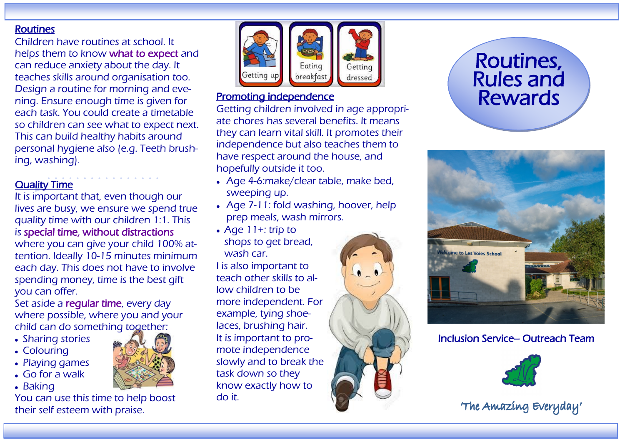#### Routines

Children have routines at school. It helps them to know what to expect and can reduce anxiety about the day. It teaches skills around organisation too. Design a routine for morning and evening. Ensure enough time is given for each task. You could create a timetable so children can see what to expect next. This can build healthy habits around personal hygiene also (e.g. Teeth brushing, washing).

## **Quality Time**

It is important that, even though our lives are busy, we ensure we spend true quality time with our children 1:1. This is special time, without distractions where you can give your child 100% attention. Ideally 10-15 minutes minimum each day. This does not have to involve spending money, time is the best gift you can offer.

Set aside a reqular time, every day where possible, where you and your child can do something together:

- Sharing stories
- Colouring
- Playing games
- Go for a walk
- Baking

You can use this time to help boost their self esteem with praise.



#### Promoting independence

Getting children involved in age appropriate chores has several benefits. It means they can learn vital skill. It promotes their independence but also teaches them to have respect around the house, and hopefully outside it too.

- Age 4-6:make/clear table, make bed, sweeping up.
- Age 7-11: fold washing, hoover, help prep meals, wash mirrors.
- Age 11+: trip to shops to get bread, wash car.

I is also important to teach other skills to allow children to be more independent. For example, tying shoelaces, brushing hair. It is important to promote independence slowly and to break the task down so they know exactly how to do it.



# Routines, Rules and Rewards



## Inclusion Service– Outreach Team



'The Amazing Everyday'